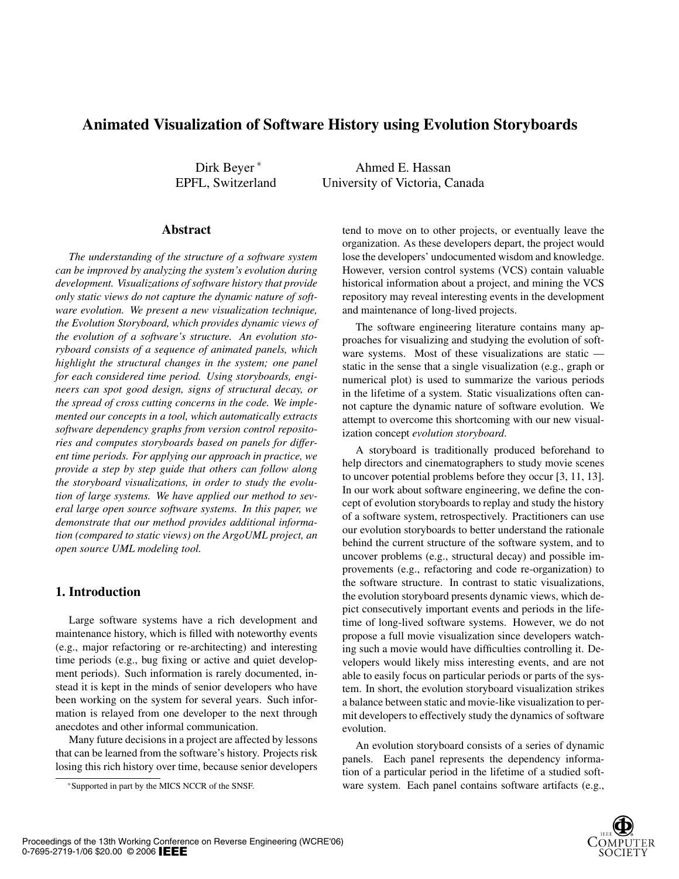# Animated Visualization of Software History using Evolution Storyboards

Dirk Beyer <sup>∗</sup> EPFL, Switzerland

Ahmed E. Hassan University of Victoria, Canada

#### Abstract

*The understanding of the structure of a software system can be improved by analyzing the system's evolution during development. Visualizations of software history that provide only static views do not capture the dynamic nature of software evolution. We present a new visualization technique, the Evolution Storyboard, which provides dynamic views of the evolution of a software's structure. An evolution storyboard consists of a sequence of animated panels, which highlight the structural changes in the system; one panel for each considered time period. Using storyboards, engineers can spot good design, signs of structural decay, or the spread of cross cutting concerns in the code. We implemented our concepts in a tool, which automatically extracts software dependency graphs from version control repositories and computes storyboards based on panels for different time periods. For applying our approach in practice, we provide a step by step guide that others can follow along the storyboard visualizations, in order to study the evolution of large systems. We have applied our method to several large open source software systems. In this paper, we demonstrate that our method provides additional information (compared to static views) on the ArgoUML project, an open source UML modeling tool.*

# 1. Introduction

Large software systems have a rich development and maintenance history, which is filled with noteworthy events (e.g., major refactoring or re-architecting) and interesting time periods (e.g., bug fixing or active and quiet development periods). Such information is rarely documented, instead it is kept in the minds of senior developers who have been working on the system for several years. Such information is relayed from one developer to the next through anecdotes and other informal communication.

Many future decisions in a project are affected by lessons that can be learned from the software's history. Projects risk losing this rich history over time, because senior developers tend to move on to other projects, or eventually leave the organization. As these developers depart, the project would lose the developers' undocumented wisdom and knowledge. However, version control systems (VCS) contain valuable historical information about a project, and mining the VCS repository may reveal interesting events in the development and maintenance of long-lived projects.

The software engineering literature contains many approaches for visualizing and studying the evolution of software systems. Most of these visualizations are static static in the sense that a single visualization (e.g., graph or numerical plot) is used to summarize the various periods in the lifetime of a system. Static visualizations often cannot capture the dynamic nature of software evolution. We attempt to overcome this shortcoming with our new visualization concept *evolution storyboard*.

A storyboard is traditionally produced beforehand to help directors and cinematographers to study movie scenes to uncover potential problems before they occur [3, 11, 13]. In our work about software engineering, we define the concept of evolution storyboards to replay and study the history of a software system, retrospectively. Practitioners can use our evolution storyboards to better understand the rationale behind the current structure of the software system, and to uncover problems (e.g., structural decay) and possible improvements (e.g., refactoring and code re-organization) to the software structure. In contrast to static visualizations, the evolution storyboard presents dynamic views, which depict consecutively important events and periods in the lifetime of long-lived software systems. However, we do not propose a full movie visualization since developers watching such a movie would have difficulties controlling it. Developers would likely miss interesting events, and are not able to easily focus on particular periods or parts of the system. In short, the evolution storyboard visualization strikes a balance between static and movie-like visualization to permit developers to effectively study the dynamics of software evolution.

An evolution storyboard consists of a series of dynamic panels. Each panel represents the dependency information of a particular period in the lifetime of a studied software system. Each panel contains software artifacts (e.g.,



<sup>∗</sup>Supported in part by the MICS NCCR of the SNSF.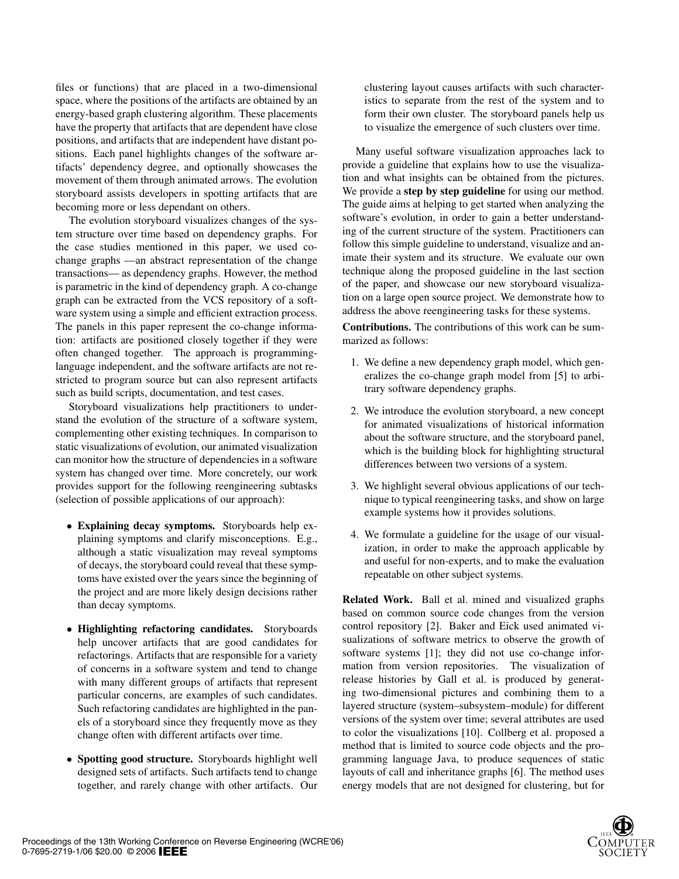files or functions) that are placed in a two-dimensional space, where the positions of the artifacts are obtained by an energy-based graph clustering algorithm. These placements have the property that artifacts that are dependent have close positions, and artifacts that are independent have distant positions. Each panel highlights changes of the software artifacts' dependency degree, and optionally showcases the movement of them through animated arrows. The evolution storyboard assists developers in spotting artifacts that are becoming more or less dependant on others.

The evolution storyboard visualizes changes of the system structure over time based on dependency graphs. For the case studies mentioned in this paper, we used cochange graphs —an abstract representation of the change transactions— as dependency graphs. However, the method is parametric in the kind of dependency graph. A co-change graph can be extracted from the VCS repository of a software system using a simple and efficient extraction process. The panels in this paper represent the co-change information: artifacts are positioned closely together if they were often changed together. The approach is programminglanguage independent, and the software artifacts are not restricted to program source but can also represent artifacts such as build scripts, documentation, and test cases.

Storyboard visualizations help practitioners to understand the evolution of the structure of a software system, complementing other existing techniques. In comparison to static visualizations of evolution, our animated visualization can monitor how the structure of dependencies in a software system has changed over time. More concretely, our work provides support for the following reengineering subtasks (selection of possible applications of our approach):

- Explaining decay symptoms. Storyboards help explaining symptoms and clarify misconceptions. E.g., although a static visualization may reveal symptoms of decays, the storyboard could reveal that these symptoms have existed over the years since the beginning of the project and are more likely design decisions rather than decay symptoms.
- Highlighting refactoring candidates. Storyboards help uncover artifacts that are good candidates for refactorings. Artifacts that are responsible for a variety of concerns in a software system and tend to change with many different groups of artifacts that represent particular concerns, are examples of such candidates. Such refactoring candidates are highlighted in the panels of a storyboard since they frequently move as they change often with different artifacts over time.
- Spotting good structure. Storyboards highlight well designed sets of artifacts. Such artifacts tend to change together, and rarely change with other artifacts. Our

clustering layout causes artifacts with such characteristics to separate from the rest of the system and to form their own cluster. The storyboard panels help us to visualize the emergence of such clusters over time.

Many useful software visualization approaches lack to provide a guideline that explains how to use the visualization and what insights can be obtained from the pictures. We provide a **step by step guideline** for using our method. The guide aims at helping to get started when analyzing the software's evolution, in order to gain a better understanding of the current structure of the system. Practitioners can follow this simple guideline to understand, visualize and animate their system and its structure. We evaluate our own technique along the proposed guideline in the last section of the paper, and showcase our new storyboard visualization on a large open source project. We demonstrate how to address the above reengineering tasks for these systems.

Contributions. The contributions of this work can be summarized as follows:

- 1. We define a new dependency graph model, which generalizes the co-change graph model from [5] to arbitrary software dependency graphs.
- 2. We introduce the evolution storyboard, a new concept for animated visualizations of historical information about the software structure, and the storyboard panel, which is the building block for highlighting structural differences between two versions of a system.
- 3. We highlight several obvious applications of our technique to typical reengineering tasks, and show on large example systems how it provides solutions.
- 4. We formulate a guideline for the usage of our visualization, in order to make the approach applicable by and useful for non-experts, and to make the evaluation repeatable on other subject systems.

Related Work. Ball et al. mined and visualized graphs based on common source code changes from the version control repository [2]. Baker and Eick used animated visualizations of software metrics to observe the growth of software systems [1]; they did not use co-change information from version repositories. The visualization of release histories by Gall et al. is produced by generating two-dimensional pictures and combining them to a layered structure (system–subsystem–module) for different versions of the system over time; several attributes are used to color the visualizations [10]. Collberg et al. proposed a method that is limited to source code objects and the programming language Java, to produce sequences of static layouts of call and inheritance graphs [6]. The method uses energy models that are not designed for clustering, but for

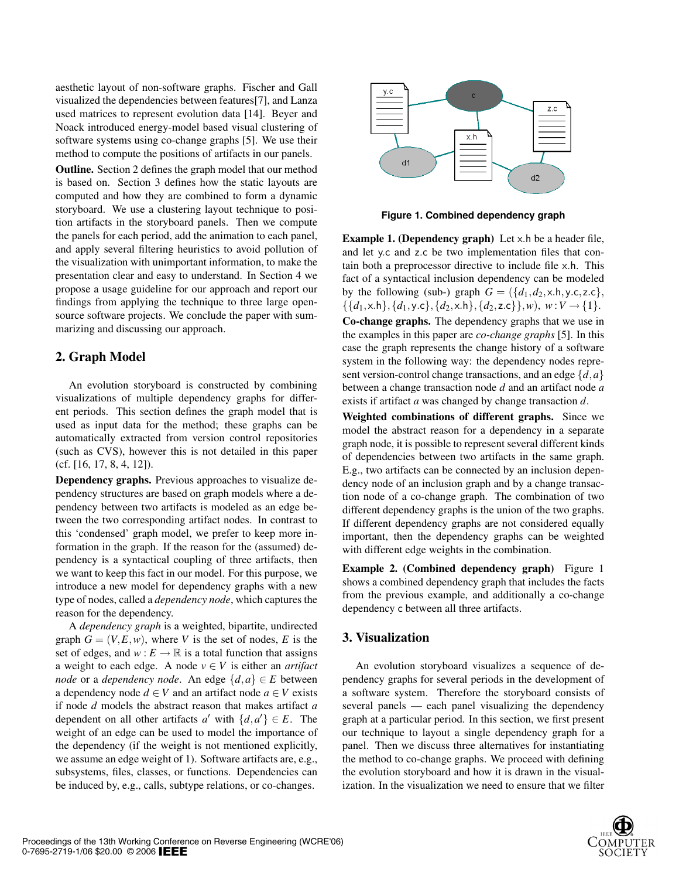aesthetic layout of non-software graphs. Fischer and Gall visualized the dependencies between features[7], and Lanza used matrices to represent evolution data [14]. Beyer and Noack introduced energy-model based visual clustering of software systems using co-change graphs [5]. We use their method to compute the positions of artifacts in our panels.

Outline. Section 2 defines the graph model that our method is based on. Section 3 defines how the static layouts are computed and how they are combined to form a dynamic storyboard. We use a clustering layout technique to position artifacts in the storyboard panels. Then we compute the panels for each period, add the animation to each panel, and apply several filtering heuristics to avoid pollution of the visualization with unimportant information, to make the presentation clear and easy to understand. In Section 4 we propose a usage guideline for our approach and report our findings from applying the technique to three large opensource software projects. We conclude the paper with summarizing and discussing our approach.

## 2. Graph Model

An evolution storyboard is constructed by combining visualizations of multiple dependency graphs for different periods. This section defines the graph model that is used as input data for the method; these graphs can be automatically extracted from version control repositories (such as CVS), however this is not detailed in this paper (cf. [16, 17, 8, 4, 12]).

Dependency graphs. Previous approaches to visualize dependency structures are based on graph models where a dependency between two artifacts is modeled as an edge between the two corresponding artifact nodes. In contrast to this 'condensed' graph model, we prefer to keep more information in the graph. If the reason for the (assumed) dependency is a syntactical coupling of three artifacts, then we want to keep this fact in our model. For this purpose, we introduce a new model for dependency graphs with a new type of nodes, called a *dependency node*, which captures the reason for the dependency.

A *dependency graph* is a weighted, bipartite, undirected graph  $G = (V, E, w)$ , where *V* is the set of nodes, *E* is the set of edges, and  $w : E \to \mathbb{R}$  is a total function that assigns a weight to each edge. A node  $v \in V$  is either an *artifact node* or a *dependency node*. An edge  $\{d, a\} \in E$  between a dependency node  $d \in V$  and an artifact node  $a \in V$  exists if node *d* models the abstract reason that makes artifact *a* dependent on all other artifacts  $a'$  with  $\{d, a'\} \in E$ . The weight of an edge can be used to model the importance of the dependency (if the weight is not mentioned explicitly, we assume an edge weight of 1). Software artifacts are, e.g., subsystems, files, classes, or functions. Dependencies can be induced by, e.g., calls, subtype relations, or co-changes.



**Figure 1. Combined dependency graph**

Example 1. (Dependency graph) Let x.h be a header file, and let y.c and z.c be two implementation files that contain both a preprocessor directive to include file x.h. This fact of a syntactical inclusion dependency can be modeled by the following (sub-) graph  $G = (\{d_1, d_2, x, h, y, c, z, c\},\)$  $\{\{d_1, x.h\}, \{d_1, y.c\}, \{d_2, x.h\}, \{d_2, z.c\}\}, w$ ,  $w: V \rightarrow \{1\}.$ Co-change graphs. The dependency graphs that we use in the examples in this paper are *co-change graphs* [5]. In this case the graph represents the change history of a software system in the following way: the dependency nodes represent version-control change transactions, and an edge {*d*,*a*} between a change transaction node *d* and an artifact node *a* exists if artifact *a* was changed by change transaction *d*.

Weighted combinations of different graphs. Since we model the abstract reason for a dependency in a separate graph node, it is possible to represent several different kinds of dependencies between two artifacts in the same graph. E.g., two artifacts can be connected by an inclusion dependency node of an inclusion graph and by a change transaction node of a co-change graph. The combination of two different dependency graphs is the union of the two graphs. If different dependency graphs are not considered equally important, then the dependency graphs can be weighted with different edge weights in the combination.

Example 2. (Combined dependency graph) Figure 1 shows a combined dependency graph that includes the facts from the previous example, and additionally a co-change dependency c between all three artifacts.

## 3. Visualization

An evolution storyboard visualizes a sequence of dependency graphs for several periods in the development of a software system. Therefore the storyboard consists of several panels — each panel visualizing the dependency graph at a particular period. In this section, we first present our technique to layout a single dependency graph for a panel. Then we discuss three alternatives for instantiating the method to co-change graphs. We proceed with defining the evolution storyboard and how it is drawn in the visualization. In the visualization we need to ensure that we filter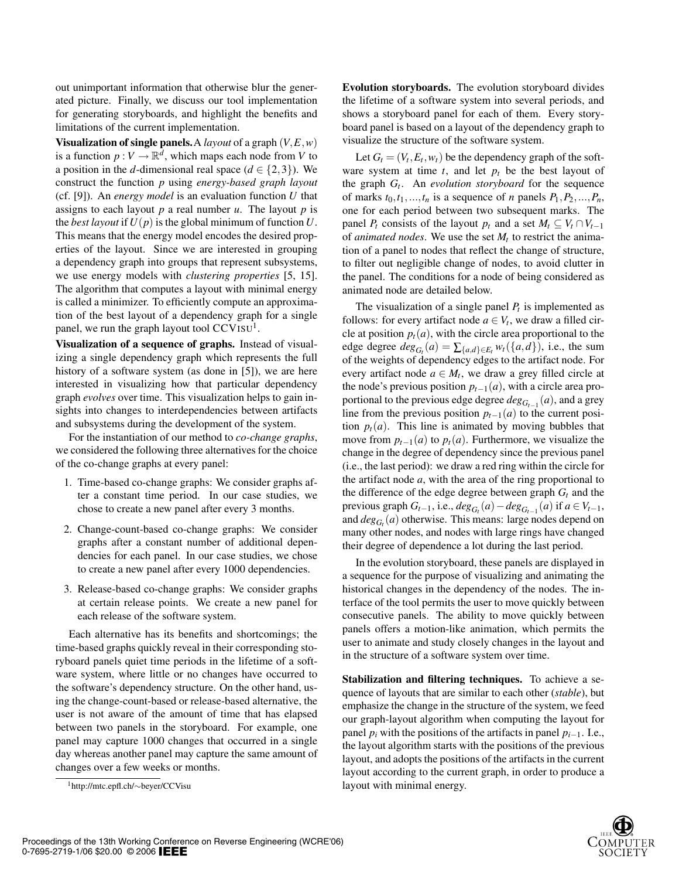out unimportant information that otherwise blur the generated picture. Finally, we discuss our tool implementation for generating storyboards, and highlight the benefits and limitations of the current implementation.

**Visualization of single panels.** A *layout* of a graph  $(V, E, w)$ is a function  $p: V \to \mathbb{R}^d$ , which maps each node from *V* to a position in the *d*-dimensional real space ( $d \in \{2,3\}$ ). We construct the function *p* using *energy-based graph layout* (cf. [9]). An *energy model* is an evaluation function *U* that assigns to each layout *p* a real number *u*. The layout *p* is the *best layout* if  $U(p)$  is the global minimum of function  $U$ . This means that the energy model encodes the desired properties of the layout. Since we are interested in grouping a dependency graph into groups that represent subsystems, we use energy models with *clustering properties* [5, 15]. The algorithm that computes a layout with minimal energy is called a minimizer. To efficiently compute an approximation of the best layout of a dependency graph for a single panel, we run the graph layout tool  $CCVISU<sup>1</sup>$ .

Visualization of a sequence of graphs. Instead of visualizing a single dependency graph which represents the full history of a software system (as done in [5]), we are here interested in visualizing how that particular dependency graph *evolves* over time. This visualization helps to gain insights into changes to interdependencies between artifacts and subsystems during the development of the system.

For the instantiation of our method to *co-change graphs*, we considered the following three alternatives for the choice of the co-change graphs at every panel:

- 1. Time-based co-change graphs: We consider graphs after a constant time period. In our case studies, we chose to create a new panel after every 3 months.
- 2. Change-count-based co-change graphs: We consider graphs after a constant number of additional dependencies for each panel. In our case studies, we chose to create a new panel after every 1000 dependencies.
- 3. Release-based co-change graphs: We consider graphs at certain release points. We create a new panel for each release of the software system.

Each alternative has its benefits and shortcomings; the time-based graphs quickly reveal in their corresponding storyboard panels quiet time periods in the lifetime of a software system, where little or no changes have occurred to the software's dependency structure. On the other hand, using the change-count-based or release-based alternative, the user is not aware of the amount of time that has elapsed between two panels in the storyboard. For example, one panel may capture 1000 changes that occurred in a single day whereas another panel may capture the same amount of changes over a few weeks or months.

Evolution storyboards. The evolution storyboard divides the lifetime of a software system into several periods, and shows a storyboard panel for each of them. Every storyboard panel is based on a layout of the dependency graph to visualize the structure of the software system.

Let  $G_t = (V_t, E_t, w_t)$  be the dependency graph of the software system at time  $t$ , and let  $p_t$  be the best layout of the graph *G<sup>t</sup>* . An *evolution storyboard* for the sequence of marks  $t_0, t_1, \ldots, t_n$  is a sequence of *n* panels  $P_1, P_2, \ldots, P_n$ , one for each period between two subsequent marks. The panel *P<sub>t</sub>* consists of the layout *p<sub>t</sub>* and a set  $M_t \subseteq V_t \cap V_{t-1}$ of *animated nodes*. We use the set *M<sup>t</sup>* to restrict the animation of a panel to nodes that reflect the change of structure, to filter out negligible change of nodes, to avoid clutter in the panel. The conditions for a node of being considered as animated node are detailed below.

The visualization of a single panel  $P_t$  is implemented as follows: for every artifact node  $a \in V_t$ , we draw a filled circle at position  $p_t(a)$ , with the circle area proportional to the edge degree  $deg_{G_t}(a) = \sum_{\{a,d\} \in E_t} w_t(\{a,d\})$ , i.e., the sum of the weights of dependency edges to the artifact node. For every artifact node  $a \in M_t$ , we draw a grey filled circle at the node's previous position  $p_{t-1}(a)$ , with a circle area proportional to the previous edge degree *degGt*−<sup>1</sup> (*a*), and a grey line from the previous position  $p_{t-1}(a)$  to the current position  $p_t(a)$ . This line is animated by moving bubbles that move from  $p_{t-1}(a)$  to  $p_t(a)$ . Furthermore, we visualize the change in the degree of dependency since the previous panel (i.e., the last period): we draw a red ring within the circle for the artifact node *a*, with the area of the ring proportional to the difference of the edge degree between graph *G<sup>t</sup>* and the previous graph  $G_{t-1}$ , i.e.,  $deg_{G_t}(a) - deg_{G_{t-1}}(a)$  if  $a \in V_{t-1}$ , and *degG<sup>t</sup>* (*a*) otherwise. This means: large nodes depend on many other nodes, and nodes with large rings have changed their degree of dependence a lot during the last period.

In the evolution storyboard, these panels are displayed in a sequence for the purpose of visualizing and animating the historical changes in the dependency of the nodes. The interface of the tool permits the user to move quickly between consecutive panels. The ability to move quickly between panels offers a motion-like animation, which permits the user to animate and study closely changes in the layout and in the structure of a software system over time.

Stabilization and filtering techniques. To achieve a sequence of layouts that are similar to each other (*stable*), but emphasize the change in the structure of the system, we feed our graph-layout algorithm when computing the layout for panel  $p_i$  with the positions of the artifacts in panel  $p_{i-1}$ . I.e., the layout algorithm starts with the positions of the previous layout, and adopts the positions of the artifacts in the current layout according to the current graph, in order to produce a layout with minimal energy.

<sup>1</sup>http://mtc.epfl.ch/∼beyer/CCVisu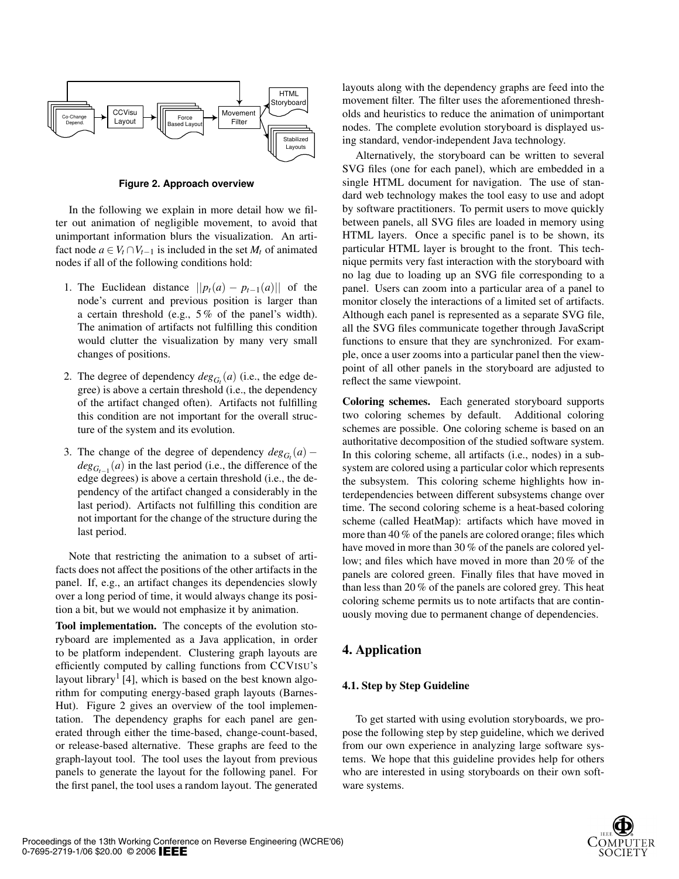

**Figure 2. Approach overview**

In the following we explain in more detail how we filter out animation of negligible movement, to avoid that unimportant information blurs the visualization. An artifact node  $a \in V_t \cap V_{t-1}$  is included in the set  $M_t$  of animated nodes if all of the following conditions hold:

- 1. The Euclidean distance  $||p_t(a) p_{t-1}(a)||$  of the node's current and previous position is larger than a certain threshold (e.g., 5 % of the panel's width). The animation of artifacts not fulfilling this condition would clutter the visualization by many very small changes of positions.
- 2. The degree of dependency  $deg_{G_t}(a)$  (i.e., the edge degree) is above a certain threshold (i.e., the dependency of the artifact changed often). Artifacts not fulfilling this condition are not important for the overall structure of the system and its evolution.
- 3. The change of the degree of dependency  $deg_{G_t}(a)$   $deg_{G_{t-1}}(a)$  in the last period (i.e., the difference of the edge degrees) is above a certain threshold (i.e., the dependency of the artifact changed a considerably in the last period). Artifacts not fulfilling this condition are not important for the change of the structure during the last period.

Note that restricting the animation to a subset of artifacts does not affect the positions of the other artifacts in the panel. If, e.g., an artifact changes its dependencies slowly over a long period of time, it would always change its position a bit, but we would not emphasize it by animation.

Tool implementation. The concepts of the evolution storyboard are implemented as a Java application, in order to be platform independent. Clustering graph layouts are efficiently computed by calling functions from CCVISU's layout library<sup>1</sup> [4], which is based on the best known algorithm for computing energy-based graph layouts (Barnes-Hut). Figure 2 gives an overview of the tool implementation. The dependency graphs for each panel are generated through either the time-based, change-count-based, or release-based alternative. These graphs are feed to the graph-layout tool. The tool uses the layout from previous panels to generate the layout for the following panel. For the first panel, the tool uses a random layout. The generated

layouts along with the dependency graphs are feed into the movement filter. The filter uses the aforementioned thresholds and heuristics to reduce the animation of unimportant nodes. The complete evolution storyboard is displayed using standard, vendor-independent Java technology.

Alternatively, the storyboard can be written to several SVG files (one for each panel), which are embedded in a single HTML document for navigation. The use of standard web technology makes the tool easy to use and adopt by software practitioners. To permit users to move quickly between panels, all SVG files are loaded in memory using HTML layers. Once a specific panel is to be shown, its particular HTML layer is brought to the front. This technique permits very fast interaction with the storyboard with no lag due to loading up an SVG file corresponding to a panel. Users can zoom into a particular area of a panel to monitor closely the interactions of a limited set of artifacts. Although each panel is represented as a separate SVG file, all the SVG files communicate together through JavaScript functions to ensure that they are synchronized. For example, once a user zooms into a particular panel then the viewpoint of all other panels in the storyboard are adjusted to reflect the same viewpoint.

Coloring schemes. Each generated storyboard supports two coloring schemes by default. Additional coloring schemes are possible. One coloring scheme is based on an authoritative decomposition of the studied software system. In this coloring scheme, all artifacts (i.e., nodes) in a subsystem are colored using a particular color which represents the subsystem. This coloring scheme highlights how interdependencies between different subsystems change over time. The second coloring scheme is a heat-based coloring scheme (called HeatMap): artifacts which have moved in more than 40 % of the panels are colored orange; files which have moved in more than 30 % of the panels are colored yellow; and files which have moved in more than 20 % of the panels are colored green. Finally files that have moved in than less than 20 % of the panels are colored grey. This heat coloring scheme permits us to note artifacts that are continuously moving due to permanent change of dependencies.

# 4. Application

#### 4.1. Step by Step Guideline

To get started with using evolution storyboards, we propose the following step by step guideline, which we derived from our own experience in analyzing large software systems. We hope that this guideline provides help for others who are interested in using storyboards on their own software systems.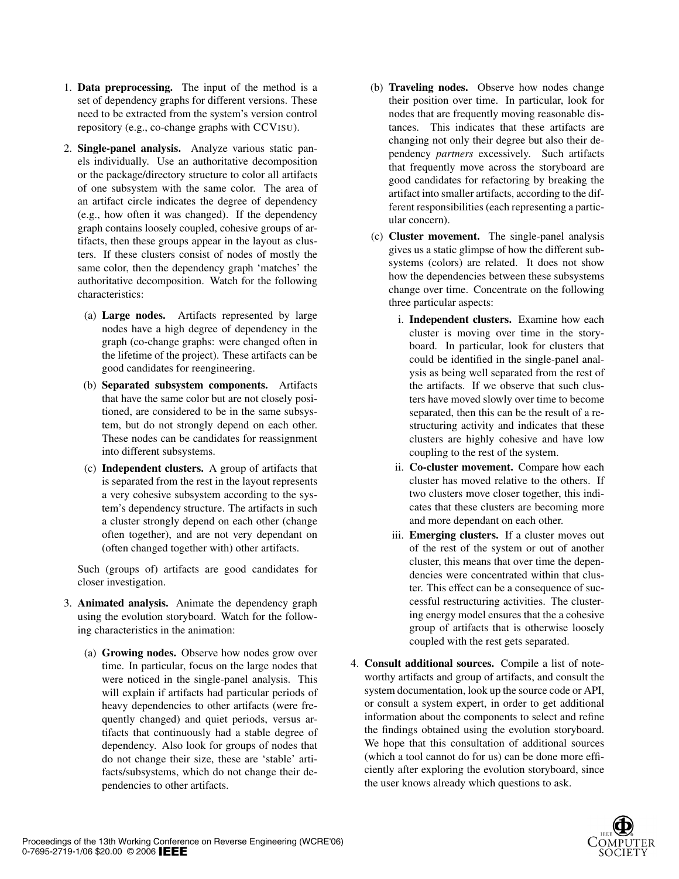- 1. Data preprocessing. The input of the method is a set of dependency graphs for different versions. These need to be extracted from the system's version control repository (e.g., co-change graphs with CCVISU).
- 2. Single-panel analysis. Analyze various static panels individually. Use an authoritative decomposition or the package/directory structure to color all artifacts of one subsystem with the same color. The area of an artifact circle indicates the degree of dependency (e.g., how often it was changed). If the dependency graph contains loosely coupled, cohesive groups of artifacts, then these groups appear in the layout as clusters. If these clusters consist of nodes of mostly the same color, then the dependency graph 'matches' the authoritative decomposition. Watch for the following characteristics:
	- (a) Large nodes. Artifacts represented by large nodes have a high degree of dependency in the graph (co-change graphs: were changed often in the lifetime of the project). These artifacts can be good candidates for reengineering.
	- (b) Separated subsystem components. Artifacts that have the same color but are not closely positioned, are considered to be in the same subsystem, but do not strongly depend on each other. These nodes can be candidates for reassignment into different subsystems.
	- (c) Independent clusters. A group of artifacts that is separated from the rest in the layout represents a very cohesive subsystem according to the system's dependency structure. The artifacts in such a cluster strongly depend on each other (change often together), and are not very dependant on (often changed together with) other artifacts.

Such (groups of) artifacts are good candidates for closer investigation.

- 3. Animated analysis. Animate the dependency graph using the evolution storyboard. Watch for the following characteristics in the animation:
	- (a) Growing nodes. Observe how nodes grow over time. In particular, focus on the large nodes that were noticed in the single-panel analysis. This will explain if artifacts had particular periods of heavy dependencies to other artifacts (were frequently changed) and quiet periods, versus artifacts that continuously had a stable degree of dependency. Also look for groups of nodes that do not change their size, these are 'stable' artifacts/subsystems, which do not change their dependencies to other artifacts.
- (b) Traveling nodes. Observe how nodes change their position over time. In particular, look for nodes that are frequently moving reasonable distances. This indicates that these artifacts are changing not only their degree but also their dependency *partners* excessively. Such artifacts that frequently move across the storyboard are good candidates for refactoring by breaking the artifact into smaller artifacts, according to the different responsibilities (each representing a particular concern).
- (c) Cluster movement. The single-panel analysis gives us a static glimpse of how the different subsystems (colors) are related. It does not show how the dependencies between these subsystems change over time. Concentrate on the following three particular aspects:
	- i. Independent clusters. Examine how each cluster is moving over time in the storyboard. In particular, look for clusters that could be identified in the single-panel analysis as being well separated from the rest of the artifacts. If we observe that such clusters have moved slowly over time to become separated, then this can be the result of a restructuring activity and indicates that these clusters are highly cohesive and have low coupling to the rest of the system.
	- ii. Co-cluster movement. Compare how each cluster has moved relative to the others. If two clusters move closer together, this indicates that these clusters are becoming more and more dependant on each other.
	- iii. **Emerging clusters.** If a cluster moves out of the rest of the system or out of another cluster, this means that over time the dependencies were concentrated within that cluster. This effect can be a consequence of successful restructuring activities. The clustering energy model ensures that the a cohesive group of artifacts that is otherwise loosely coupled with the rest gets separated.
- 4. Consult additional sources. Compile a list of noteworthy artifacts and group of artifacts, and consult the system documentation, look up the source code or API, or consult a system expert, in order to get additional information about the components to select and refine the findings obtained using the evolution storyboard. We hope that this consultation of additional sources (which a tool cannot do for us) can be done more efficiently after exploring the evolution storyboard, since the user knows already which questions to ask.

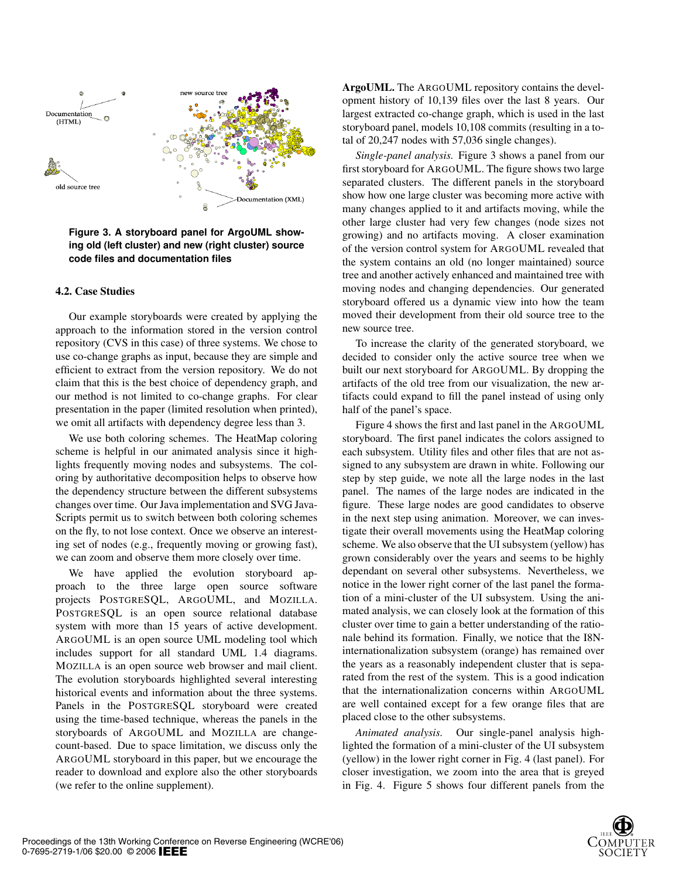

### **Figure 3. A storyboard panel for ArgoUML showing old (left cluster) and new (right cluster) source code files and documentation files**

#### 4.2. Case Studies

Our example storyboards were created by applying the approach to the information stored in the version control repository (CVS in this case) of three systems. We chose to use co-change graphs as input, because they are simple and efficient to extract from the version repository. We do not claim that this is the best choice of dependency graph, and our method is not limited to co-change graphs. For clear presentation in the paper (limited resolution when printed), we omit all artifacts with dependency degree less than 3.

We use both coloring schemes. The HeatMap coloring scheme is helpful in our animated analysis since it highlights frequently moving nodes and subsystems. The coloring by authoritative decomposition helps to observe how the dependency structure between the different subsystems changes over time. Our Java implementation and SVG Java-Scripts permit us to switch between both coloring schemes on the fly, to not lose context. Once we observe an interesting set of nodes (e.g., frequently moving or growing fast), we can zoom and observe them more closely over time.

We have applied the evolution storyboard approach to the three large open source software projects POSTGRESQL, ARGOUML, and MOZILLA. POSTGRESQL is an open source relational database system with more than 15 years of active development. ARGOUML is an open source UML modeling tool which includes support for all standard UML 1.4 diagrams. MOZILLA is an open source web browser and mail client. The evolution storyboards highlighted several interesting historical events and information about the three systems. Panels in the POSTGRESQL storyboard were created using the time-based technique, whereas the panels in the storyboards of ARGOUML and MOZILLA are changecount-based. Due to space limitation, we discuss only the ARGOUML storyboard in this paper, but we encourage the reader to download and explore also the other storyboards (we refer to the online supplement).

ArgoUML. The ARGOUML repository contains the development history of 10,139 files over the last 8 years. Our largest extracted co-change graph, which is used in the last storyboard panel, models 10,108 commits (resulting in a total of 20,247 nodes with 57,036 single changes).

*Single-panel analysis.* Figure 3 shows a panel from our first storyboard for ARGOUML. The figure shows two large separated clusters. The different panels in the storyboard show how one large cluster was becoming more active with many changes applied to it and artifacts moving, while the other large cluster had very few changes (node sizes not growing) and no artifacts moving. A closer examination of the version control system for ARGOUML revealed that the system contains an old (no longer maintained) source tree and another actively enhanced and maintained tree with moving nodes and changing dependencies. Our generated storyboard offered us a dynamic view into how the team moved their development from their old source tree to the new source tree.

To increase the clarity of the generated storyboard, we decided to consider only the active source tree when we built our next storyboard for ARGOUML. By dropping the artifacts of the old tree from our visualization, the new artifacts could expand to fill the panel instead of using only half of the panel's space.

Figure 4 shows the first and last panel in the ARGOUML storyboard. The first panel indicates the colors assigned to each subsystem. Utility files and other files that are not assigned to any subsystem are drawn in white. Following our step by step guide, we note all the large nodes in the last panel. The names of the large nodes are indicated in the figure. These large nodes are good candidates to observe in the next step using animation. Moreover, we can investigate their overall movements using the HeatMap coloring scheme. We also observe that the UI subsystem (yellow) has grown considerably over the years and seems to be highly dependant on several other subsystems. Nevertheless, we notice in the lower right corner of the last panel the formation of a mini-cluster of the UI subsystem. Using the animated analysis, we can closely look at the formation of this cluster over time to gain a better understanding of the rationale behind its formation. Finally, we notice that the I8Ninternationalization subsystem (orange) has remained over the years as a reasonably independent cluster that is separated from the rest of the system. This is a good indication that the internationalization concerns within ARGOUML are well contained except for a few orange files that are placed close to the other subsystems.

*Animated analysis.* Our single-panel analysis highlighted the formation of a mini-cluster of the UI subsystem (yellow) in the lower right corner in Fig. 4 (last panel). For closer investigation, we zoom into the area that is greyed in Fig. 4. Figure 5 shows four different panels from the

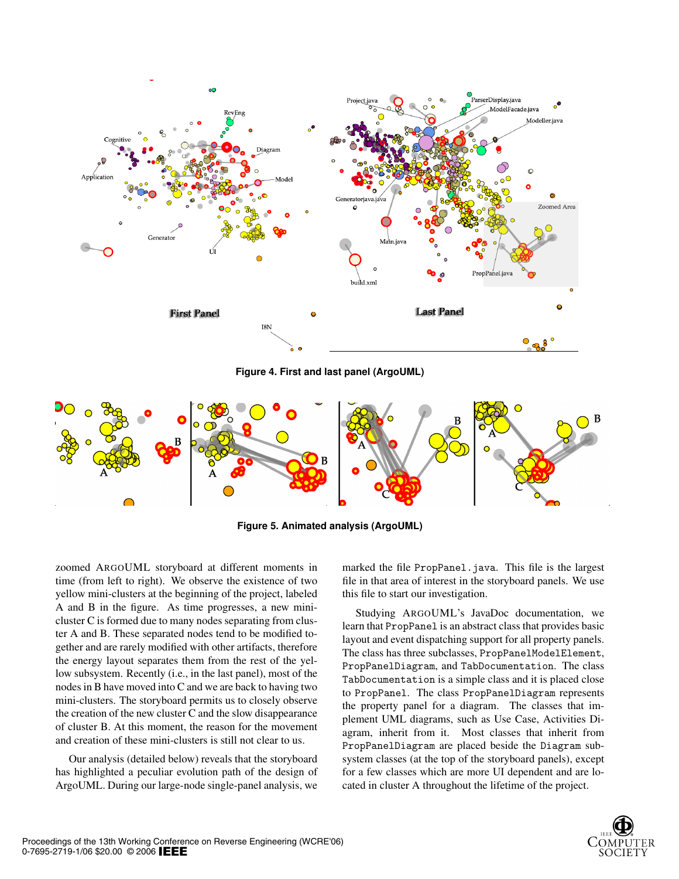

**Figure 4. First and last panel (ArgoUML)**



**Figure 5. Animated analysis (ArgoUML)**

zoomed ARGOUML storyboard at different moments in time (from left to right). We observe the existence of two yellow mini-clusters at the beginning of the project, labeled A and B in the figure. As time progresses, a new minicluster C is formed due to many nodes separating from cluster A and B. These separated nodes tend to be modified together and are rarely modified with other artifacts, therefore the energy layout separates them from the rest of the yellow subsystem. Recently (i.e., in the last panel), most of the nodes in B have moved into C and we are back to having two mini-clusters. The storyboard permits us to closely observe the creation of the new cluster C and the slow disappearance of cluster B. At this moment, the reason for the movement and creation of these mini-clusters is still not clear to us.

Our analysis (detailed below) reveals that the storyboard has highlighted a peculiar evolution path of the design of ArgoUML. During our large-node single-panel analysis, we marked the file PropPanel.java. This file is the largest file in that area of interest in the storyboard panels. We use this file to start our investigation.

Studying ARGOUML's JavaDoc documentation, we learn that PropPanel is an abstract class that provides basic layout and event dispatching support for all property panels. The class has three subclasses, PropPanelModelElement, PropPanelDiagram, and TabDocumentation. The class TabDocumentation is a simple class and it is placed close to PropPanel. The class PropPanelDiagram represents the property panel for a diagram. The classes that implement UML diagrams, such as Use Case, Activities Diagram, inherit from it. Most classes that inherit from PropPanelDiagram are placed beside the Diagram subsystem classes (at the top of the storyboard panels), except for a few classes which are more UI dependent and are located in cluster A throughout the lifetime of the project.

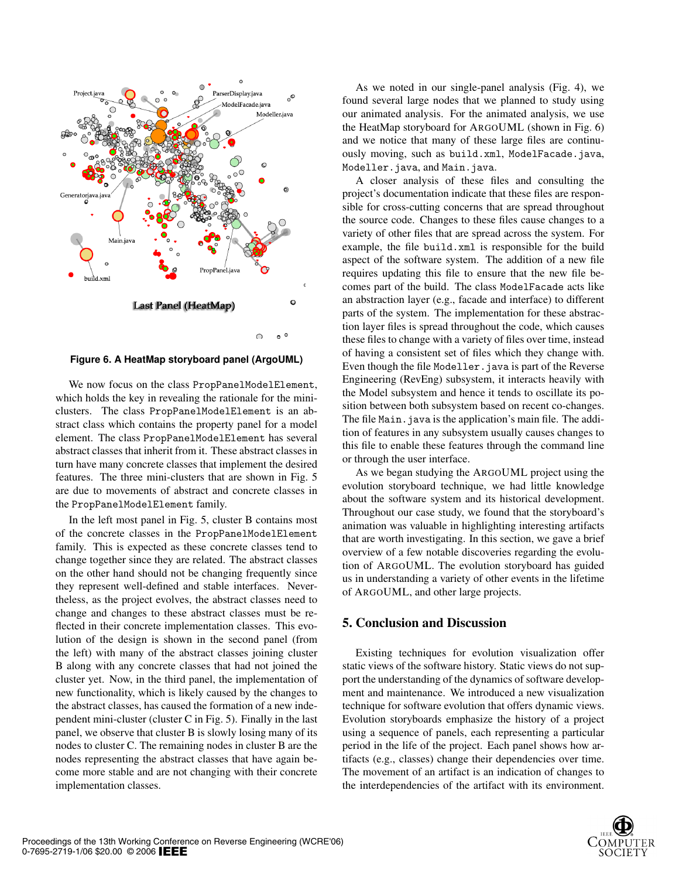

**Figure 6. A HeatMap storyboard panel (ArgoUML)**

We now focus on the class PropPanelModelElement, which holds the key in revealing the rationale for the miniclusters. The class PropPanelModelElement is an abstract class which contains the property panel for a model element. The class PropPanelModelElement has several abstract classes that inherit from it. These abstract classes in turn have many concrete classes that implement the desired features. The three mini-clusters that are shown in Fig. 5 are due to movements of abstract and concrete classes in the PropPanelModelElement family.

In the left most panel in Fig. 5, cluster B contains most of the concrete classes in the PropPanelModelElement family. This is expected as these concrete classes tend to change together since they are related. The abstract classes on the other hand should not be changing frequently since they represent well-defined and stable interfaces. Nevertheless, as the project evolves, the abstract classes need to change and changes to these abstract classes must be reflected in their concrete implementation classes. This evolution of the design is shown in the second panel (from the left) with many of the abstract classes joining cluster B along with any concrete classes that had not joined the cluster yet. Now, in the third panel, the implementation of new functionality, which is likely caused by the changes to the abstract classes, has caused the formation of a new independent mini-cluster (cluster C in Fig. 5). Finally in the last panel, we observe that cluster B is slowly losing many of its nodes to cluster C. The remaining nodes in cluster B are the nodes representing the abstract classes that have again become more stable and are not changing with their concrete implementation classes.

As we noted in our single-panel analysis (Fig. 4), we found several large nodes that we planned to study using our animated analysis. For the animated analysis, we use the HeatMap storyboard for ARGOUML (shown in Fig. 6) and we notice that many of these large files are continuously moving, such as build.xml, ModelFacade.java, Modeller.java, and Main.java.

A closer analysis of these files and consulting the project's documentation indicate that these files are responsible for cross-cutting concerns that are spread throughout the source code. Changes to these files cause changes to a variety of other files that are spread across the system. For example, the file build.xml is responsible for the build aspect of the software system. The addition of a new file requires updating this file to ensure that the new file becomes part of the build. The class ModelFacade acts like an abstraction layer (e.g., facade and interface) to different parts of the system. The implementation for these abstraction layer files is spread throughout the code, which causes these files to change with a variety of files over time, instead of having a consistent set of files which they change with. Even though the file Modeller.java is part of the Reverse Engineering (RevEng) subsystem, it interacts heavily with the Model subsystem and hence it tends to oscillate its position between both subsystem based on recent co-changes. The file Main.java is the application's main file. The addition of features in any subsystem usually causes changes to this file to enable these features through the command line or through the user interface.

As we began studying the ARGOUML project using the evolution storyboard technique, we had little knowledge about the software system and its historical development. Throughout our case study, we found that the storyboard's animation was valuable in highlighting interesting artifacts that are worth investigating. In this section, we gave a brief overview of a few notable discoveries regarding the evolution of ARGOUML. The evolution storyboard has guided us in understanding a variety of other events in the lifetime of ARGOUML, and other large projects.

### 5. Conclusion and Discussion

Existing techniques for evolution visualization offer static views of the software history. Static views do not support the understanding of the dynamics of software development and maintenance. We introduced a new visualization technique for software evolution that offers dynamic views. Evolution storyboards emphasize the history of a project using a sequence of panels, each representing a particular period in the life of the project. Each panel shows how artifacts (e.g., classes) change their dependencies over time. The movement of an artifact is an indication of changes to the interdependencies of the artifact with its environment.